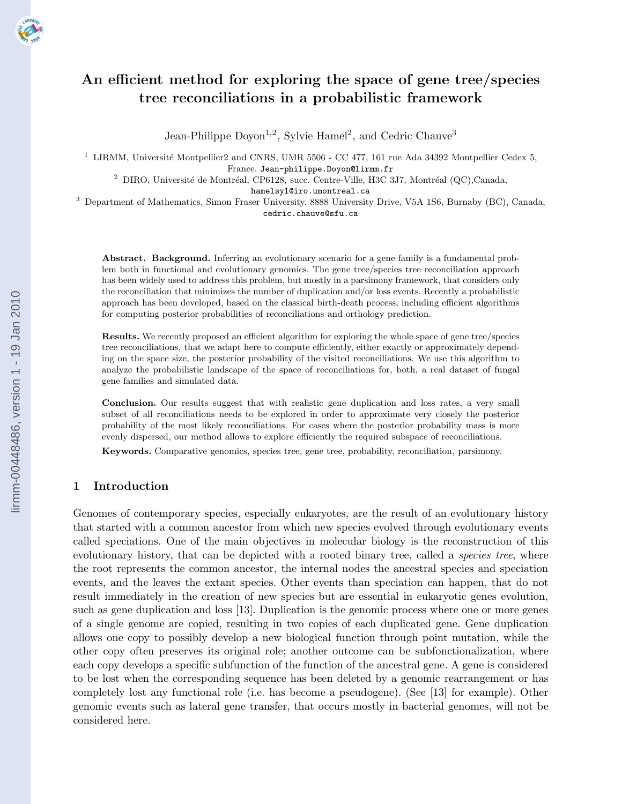# An efficient method for exploring the space of gene tree/species tree reconciliations in a probabilistic framework

Jean-Philippe Doyon<sup>1,2</sup>, Sylvie Hamel<sup>2</sup>, and Cedric Chauve<sup>3</sup>

<sup>1</sup> LIRMM, Université Montpellier2 and CNRS, UMR 5506 - CC 477, 161 rue Ada 34392 Montpellier Cedex 5, France. Jean-philippe.Doyon@lirmm.fr

 $^2$  DIRO, Université de Montréal, CP6128, succ. Centre-Ville, H3C 3J7, Montréal (QC),Canada,

hamelsyl@iro.umontreal.ca

<sup>3</sup> Department of Mathematics, Simon Fraser University, 8888 University Drive, V5A 1S6, Burnaby (BC), Canada,

cedric.chauve@sfu.ca

Abstract. Background. Inferring an evolutionary scenario for a gene family is a fundamental problem both in functional and evolutionary genomics. The gene tree/species tree reconciliation approach has been widely used to address this problem, but mostly in a parsimony framework, that considers only the reconciliation that minimizes the number of duplication and/or loss events. Recently a probabilistic approach has been developed, based on the classical birth-death process, including efficient algorithms for computing posterior probabilities of reconciliations and orthology prediction.

Results. We recently proposed an efficient algorithm for exploring the whole space of gene tree/species tree reconciliations, that we adapt here to compute efficiently, either exactly or approximately depending on the space size, the posterior probability of the visited reconciliations. We use this algorithm to analyze the probabilistic landscape of the space of reconciliations for, both, a real dataset of fungal gene families and simulated data.

Conclusion. Our results suggest that with realistic gene duplication and loss rates, a very small subset of all reconciliations needs to be explored in order to approximate very closely the posterior probability of the most likely reconciliations. For cases where the posterior probability mass is more evenly dispersed, our method allows to explore efficiently the required subspace of reconciliations.

Keywords. Comparative genomics, species tree, gene tree, probability, reconciliation, parsimony.

## 1 Introduction

Genomes of contemporary species, especially eukaryotes, are the result of an evolutionary history that started with a common ancestor from which new species evolved through evolutionary events called speciations. One of the main objectives in molecular biology is the reconstruction of this evolutionary history, that can be depicted with a rooted binary tree, called a *species tree*, where the root represents the common ancestor, the internal nodes the ancestral species and speciation events, and the leaves the extant species. Other events than speciation can happen, that do not result immediately in the creation of new species but are essential in eukaryotic genes evolution, such as gene duplication and loss [13]. Duplication is the genomic process where one or more genes of a single genome are copied, resulting in two copies of each duplicated gene. Gene duplication allows one copy to possibly develop a new biological function through point mutation, while the other copy often preserves its original role; another outcome can be subfonctionalization, where each copy develops a specific subfunction of the function of the ancestral gene. A gene is considered to be lost when the corresponding sequence has been deleted by a genomic rearrangement or has completely lost any functional role (i.e. has become a pseudogene). (See [13] for example). Other genomic events such as lateral gene transfer, that occurs mostly in bacterial genomes, will not be considered here.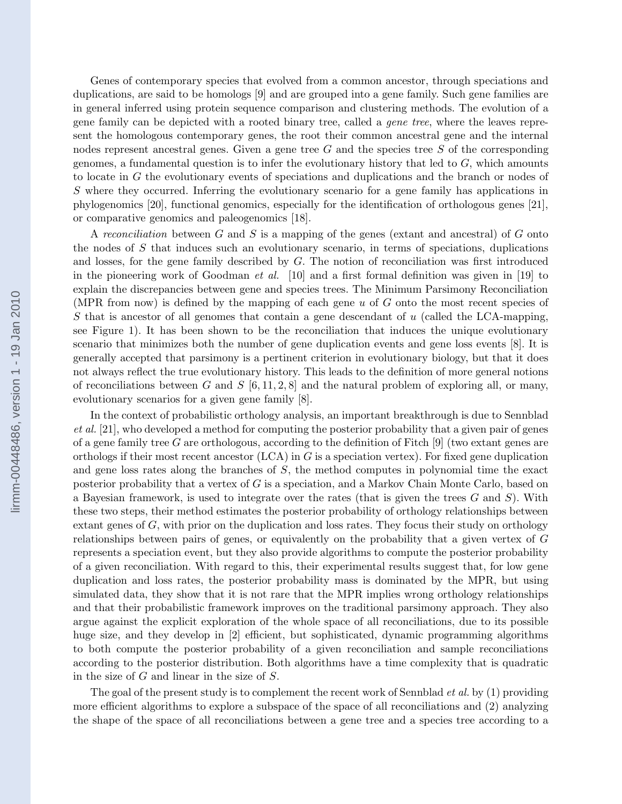Genes of contemporary species that evolved from a common ancestor, through speciations and duplications, are said to be homologs [9] and are grouped into a gene family. Such gene families are in general inferred using protein sequence comparison and clustering methods. The evolution of a gene family can be depicted with a rooted binary tree, called a gene tree, where the leaves represent the homologous contemporary genes, the root their common ancestral gene and the internal nodes represent ancestral genes. Given a gene tree  $G$  and the species tree  $S$  of the corresponding genomes, a fundamental question is to infer the evolutionary history that led to  $G$ , which amounts to locate in G the evolutionary events of speciations and duplications and the branch or nodes of S where they occurred. Inferring the evolutionary scenario for a gene family has applications in phylogenomics [20], functional genomics, especially for the identification of orthologous genes [21], or comparative genomics and paleogenomics [18].

A reconciliation between  $G$  and  $S$  is a mapping of the genes (extant and ancestral) of  $G$  onto the nodes of S that induces such an evolutionary scenario, in terms of speciations, duplications and losses, for the gene family described by G. The notion of reconciliation was first introduced in the pioneering work of Goodman *et al.* [10] and a first formal definition was given in [19] to explain the discrepancies between gene and species trees. The Minimum Parsimony Reconciliation (MPR from now) is defined by the mapping of each gene  $u$  of  $G$  onto the most recent species of  $S$  that is ancestor of all genomes that contain a gene descendant of  $u$  (called the LCA-mapping, see Figure 1). It has been shown to be the reconciliation that induces the unique evolutionary scenario that minimizes both the number of gene duplication events and gene loss events [8]. It is generally accepted that parsimony is a pertinent criterion in evolutionary biology, but that it does not always reflect the true evolutionary history. This leads to the definition of more general notions of reconciliations between G and S  $[6, 11, 2, 8]$  and the natural problem of exploring all, or many, evolutionary scenarios for a given gene family [8].

In the context of probabilistic orthology analysis, an important breakthrough is due to Sennblad et al. [21], who developed a method for computing the posterior probability that a given pair of genes of a gene family tree G are orthologous, according to the definition of Fitch  $[9]$  (two extant genes are orthologs if their most recent ancestor  $(LCA)$  in G is a speciation vertex). For fixed gene duplication and gene loss rates along the branches of S, the method computes in polynomial time the exact posterior probability that a vertex of G is a speciation, and a Markov Chain Monte Carlo, based on a Bayesian framework, is used to integrate over the rates (that is given the trees  $G$  and  $S$ ). With these two steps, their method estimates the posterior probability of orthology relationships between extant genes of  $G$ , with prior on the duplication and loss rates. They focus their study on orthology relationships between pairs of genes, or equivalently on the probability that a given vertex of G represents a speciation event, but they also provide algorithms to compute the posterior probability of a given reconciliation. With regard to this, their experimental results suggest that, for low gene duplication and loss rates, the posterior probability mass is dominated by the MPR, but using simulated data, they show that it is not rare that the MPR implies wrong orthology relationships and that their probabilistic framework improves on the traditional parsimony approach. They also argue against the explicit exploration of the whole space of all reconciliations, due to its possible huge size, and they develop in [2] efficient, but sophisticated, dynamic programming algorithms to both compute the posterior probability of a given reconciliation and sample reconciliations according to the posterior distribution. Both algorithms have a time complexity that is quadratic in the size of G and linear in the size of S.

The goal of the present study is to complement the recent work of Sennblad *et al.* by (1) providing more efficient algorithms to explore a subspace of the space of all reconciliations and (2) analyzing the shape of the space of all reconciliations between a gene tree and a species tree according to a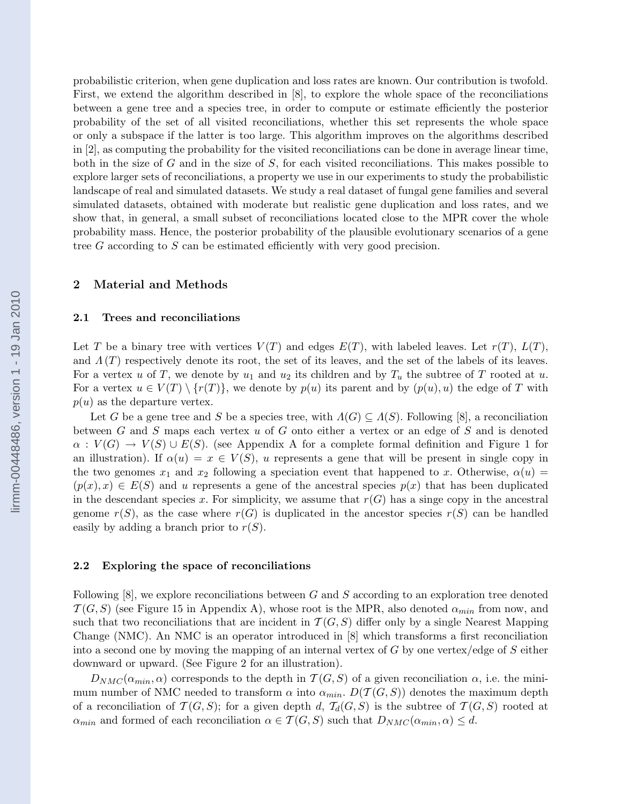probabilistic criterion, when gene duplication and loss rates are known. Our contribution is twofold. First, we extend the algorithm described in [8], to explore the whole space of the reconciliations between a gene tree and a species tree, in order to compute or estimate efficiently the posterior probability of the set of all visited reconciliations, whether this set represents the whole space or only a subspace if the latter is too large. This algorithm improves on the algorithms described in [2], as computing the probability for the visited reconciliations can be done in average linear time, both in the size of  $G$  and in the size of  $S$ , for each visited reconciliations. This makes possible to explore larger sets of reconciliations, a property we use in our experiments to study the probabilistic landscape of real and simulated datasets. We study a real dataset of fungal gene families and several simulated datasets, obtained with moderate but realistic gene duplication and loss rates, and we show that, in general, a small subset of reconciliations located close to the MPR cover the whole probability mass. Hence, the posterior probability of the plausible evolutionary scenarios of a gene tree G according to S can be estimated efficiently with very good precision.

## 2 Material and Methods

#### 2.1 Trees and reconciliations

Let T be a binary tree with vertices  $V(T)$  and edges  $E(T)$ , with labeled leaves. Let  $r(T)$ ,  $L(T)$ , and  $\Lambda(T)$  respectively denote its root, the set of its leaves, and the set of the labels of its leaves. For a vertex u of T, we denote by  $u_1$  and  $u_2$  its children and by  $T_u$  the subtree of T rooted at u. For a vertex  $u \in V(T) \setminus \{r(T)\}\)$ , we denote by  $p(u)$  its parent and by  $(p(u), u)$  the edge of T with  $p(u)$  as the departure vertex.

Let G be a gene tree and S be a species tree, with  $\Lambda(G) \subseteq \Lambda(S)$ . Following [8], a reconciliation between G and S maps each vertex u of G onto either a vertex or an edge of S and is denoted  $\alpha: V(G) \to V(S) \cup E(S)$ . (see Appendix A for a complete formal definition and Figure 1 for an illustration). If  $\alpha(u) = x \in V(S)$ , u represents a gene that will be present in single copy in the two genomes  $x_1$  and  $x_2$  following a speciation event that happened to x. Otherwise,  $\alpha(u)$  $(p(x), x) \in E(S)$  and u represents a gene of the ancestral species  $p(x)$  that has been duplicated in the descendant species x. For simplicity, we assume that  $r(G)$  has a singe copy in the ancestral genome  $r(S)$ , as the case where  $r(G)$  is duplicated in the ancestor species  $r(S)$  can be handled easily by adding a branch prior to  $r(S)$ .

#### 2.2 Exploring the space of reconciliations

Following  $[8]$ , we explore reconciliations between G and S according to an exploration tree denoted  $T(G, S)$  (see Figure 15 in Appendix A), whose root is the MPR, also denoted  $\alpha_{min}$  from now, and such that two reconciliations that are incident in  $\mathcal{T}(G, S)$  differ only by a single Nearest Mapping Change (NMC). An NMC is an operator introduced in [8] which transforms a first reconciliation into a second one by moving the mapping of an internal vertex of  $G$  by one vertex/edge of  $S$  either downward or upward. (See Figure 2 for an illustration).

 $D_{NMC}(\alpha_{min}, \alpha)$  corresponds to the depth in  $\mathcal{T}(G, S)$  of a given reconciliation  $\alpha$ , i.e. the minimum number of NMC needed to transform  $\alpha$  into  $\alpha_{min}$ .  $D(\mathcal{T}(G, S))$  denotes the maximum depth of a reconciliation of  $\mathcal{T}(G, S)$ ; for a given depth d,  $\mathcal{T}_d(G, S)$  is the subtree of  $\mathcal{T}(G, S)$  rooted at  $\alpha_{min}$  and formed of each reconciliation  $\alpha \in \mathcal{T}(G, S)$  such that  $D_{NMC}(\alpha_{min}, \alpha) \leq d$ .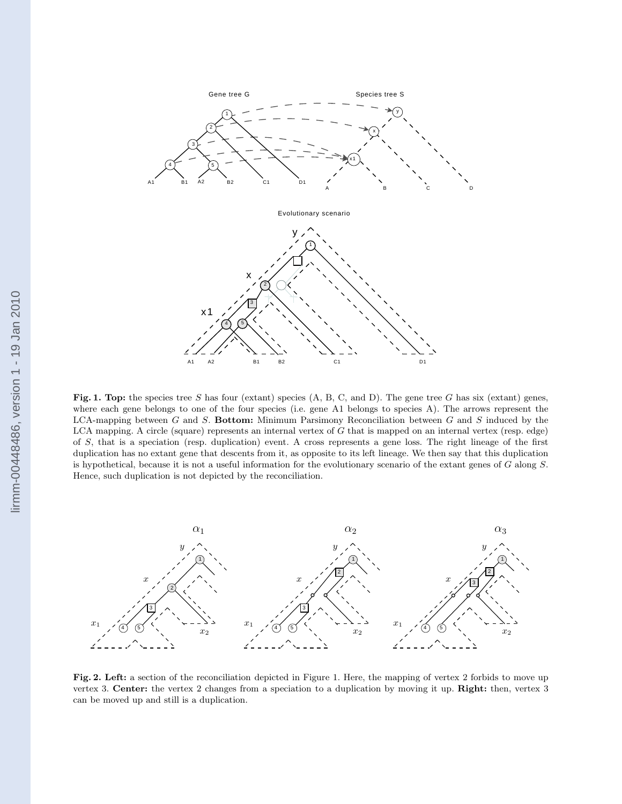

Fig. 1. Top: the species tree S has four (extant) species  $(A, B, C, and D)$ . The gene tree G has six (extant) genes, where each gene belongs to one of the four species (i.e. gene A1 belongs to species A). The arrows represent the LCA-mapping between  $G$  and  $S$ . Bottom: Minimum Parsimony Reconciliation between  $G$  and  $S$  induced by the LCA mapping. A circle (square) represents an internal vertex of G that is mapped on an internal vertex (resp. edge) of S, that is a speciation (resp. duplication) event. A cross represents a gene loss. The right lineage of the first duplication has no extant gene that descents from it, as opposite to its left lineage. We then say that this duplication is hypothetical, because it is not a useful information for the evolutionary scenario of the extant genes of G along S. Hence, such duplication is not depicted by the reconciliation.



Fig. 2. Left: a section of the reconciliation depicted in Figure 1. Here, the mapping of vertex 2 forbids to move up vertex 3. Center: the vertex 2 changes from a speciation to a duplication by moving it up. Right: then, vertex 3 can be moved up and still is a duplication.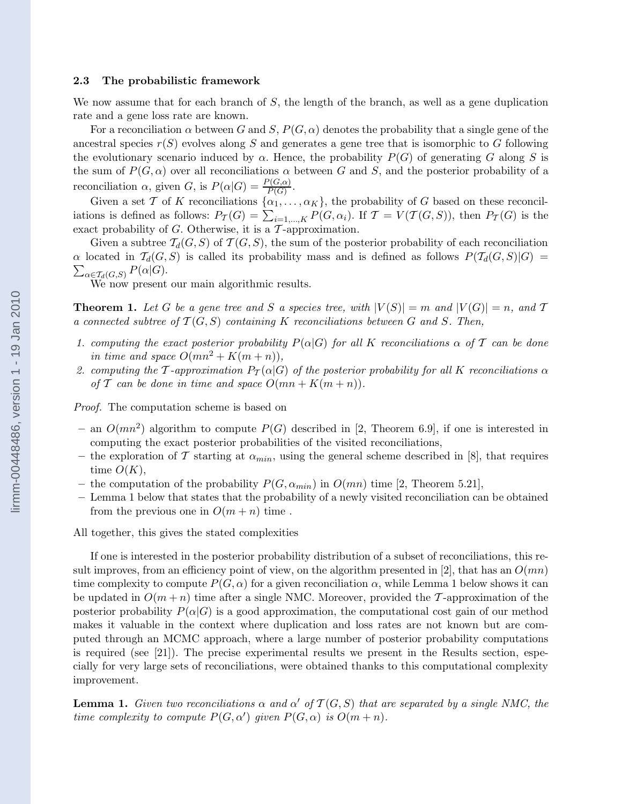#### 2.3 The probabilistic framework

We now assume that for each branch of  $S$ , the length of the branch, as well as a gene duplication rate and a gene loss rate are known.

For a reconciliation  $\alpha$  between G and S,  $P(G, \alpha)$  denotes the probability that a single gene of the ancestral species  $r(S)$  evolves along S and generates a gene tree that is isomorphic to G following the evolutionary scenario induced by  $\alpha$ . Hence, the probability  $P(G)$  of generating G along S is the sum of  $P(G, \alpha)$  over all reconciliations  $\alpha$  between G and S, and the posterior probability of a reconciliation  $\alpha$ , given G, is  $P(\alpha|G) = \frac{P(G,\alpha)}{P(G)}$ .

Given a set T of K reconciliations  $\{\alpha_1, \ldots, \alpha_K\}$ , the probability of G based on these reconciliations is defined as follows:  $P_{\mathcal{T}}(G) = \sum_{i=1,\dots,K} P(G, \alpha_i)$ . If  $\mathcal{T} = V(\mathcal{T}(G, S))$ , then  $P_{\mathcal{T}}(G)$  is the exact probability of  $G$ . Otherwise, it is a  $\mathcal T$ -approximation.

Given a subtree  $T_d(G, S)$  of  $T(G, S)$ , the sum of the posterior probability of each reconciliation  $\sum_{\alpha \in \mathcal{T}_{d}(G,S)} P(\alpha|G).$  $\alpha$  located in  $\mathcal{T}_d(G, S)$  is called its probability mass and is defined as follows  $P(\mathcal{T}_d(G, S)|G)$  =

We now present our main algorithmic results.

**Theorem 1.** Let G be a gene tree and S a species tree, with  $|V(S)| = m$  and  $|V(G)| = n$ , and T a connected subtree of  $T(G, S)$  containing K reconciliations between G and S. Then,

- 1. computing the exact posterior probability  $P(\alpha|G)$  for all K reconciliations  $\alpha$  of T can be done in time and space  $O(mn^2 + K(m + n)),$
- 2. computing the T-approximation  $P_{\mathcal{T}}(\alpha|G)$  of the posterior probability for all K reconciliations  $\alpha$ of T can be done in time and space  $O(mn + K(m+n))$ .

Proof. The computation scheme is based on

- an  $O(mn^2)$  algorithm to compute  $P(G)$  described in [2, Theorem 6.9], if one is interested in computing the exact posterior probabilities of the visited reconciliations,
- the exploration of T starting at  $\alpha_{min}$ , using the general scheme described in [8], that requires time  $O(K)$ ,
- the computation of the probability  $P(G, \alpha_{min})$  in  $O(mn)$  time [2, Theorem 5.21],
- Lemma 1 below that states that the probability of a newly visited reconciliation can be obtained from the previous one in  $O(m+n)$  time.

All together, this gives the stated complexities

If one is interested in the posterior probability distribution of a subset of reconciliations, this result improves, from an efficiency point of view, on the algorithm presented in [2], that has an  $O(mn)$ time complexity to compute  $P(G, \alpha)$  for a given reconciliation  $\alpha$ , while Lemma 1 below shows it can be updated in  $O(m+n)$  time after a single NMC. Moreover, provided the T-approximation of the posterior probability  $P(\alpha|G)$  is a good approximation, the computational cost gain of our method makes it valuable in the context where duplication and loss rates are not known but are computed through an MCMC approach, where a large number of posterior probability computations is required (see [21]). The precise experimental results we present in the Results section, especially for very large sets of reconciliations, were obtained thanks to this computational complexity improvement.

**Lemma 1.** Given two reconciliations  $\alpha$  and  $\alpha'$  of  $\mathcal{T}(G, S)$  that are separated by a single NMC, the time complexity to compute  $P(G, \alpha')$  given  $P(G, \alpha)$  is  $O(m + n)$ .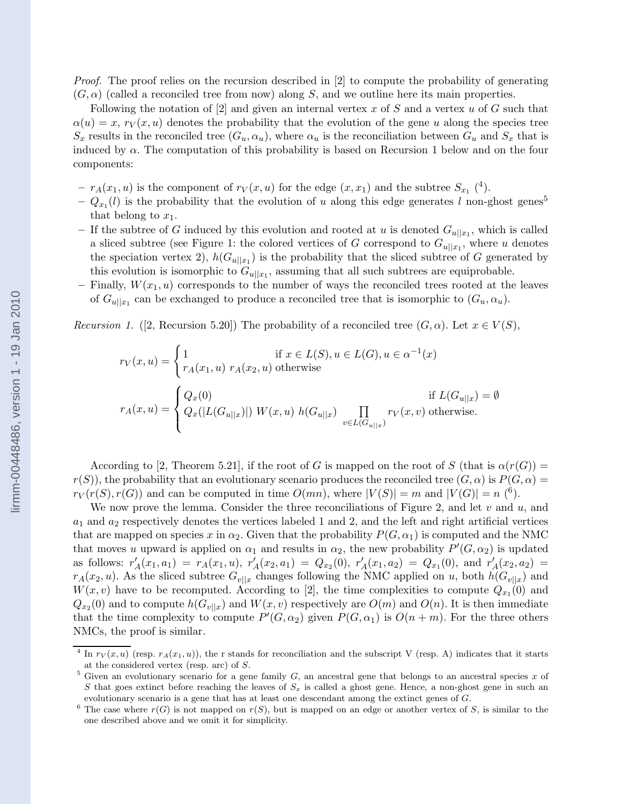Proof. The proof relies on the recursion described in [2] to compute the probability of generating  $(G, \alpha)$  (called a reconciled tree from now) along S, and we outline here its main properties.

Following the notation of  $[2]$  and given an internal vertex x of S and a vertex u of G such that  $\alpha(u) = x, r_V(x, u)$  denotes the probability that the evolution of the gene u along the species tree  $S_x$  results in the reconciled tree  $(G_u, \alpha_u)$ , where  $\alpha_u$  is the reconciliation between  $G_u$  and  $S_x$  that is induced by  $\alpha$ . The computation of this probability is based on Recursion 1 below and on the four components:

- $-r_A(x_1, u)$  is the component of  $r_V(x, u)$  for the edge  $(x, x_1)$  and the subtree  $S_{x_1}$  (<sup>4</sup>).
- $-Q_{x_1}(l)$  is the probability that the evolution of u along this edge generates l non-ghost genes<sup>5</sup> that belong to  $x_1$ .
- If the subtree of G induced by this evolution and rooted at u is denoted  $G_{u||x_1}$ , which is called a sliced subtree (see Figure 1: the colored vertices of G correspond to  $G_{u||x_1}$ , where u denotes the speciation vertex 2),  $h(G_{u||x_1})$  is the probability that the sliced subtree of G generated by this evolution is isomorphic to  $G_{u||x_1}$ , assuming that all such subtrees are equiprobable.
- Finally,  $W(x_1, u)$  corresponds to the number of ways the reconciled trees rooted at the leaves of  $G_{u||x_1}$  can be exchanged to produce a reconciled tree that is isomorphic to  $(G_u, \alpha_u)$ .

Recursion 1. ([2, Recursion 5.20]) The probability of a reconciled tree  $(G, \alpha)$ . Let  $x \in V(S)$ ,

$$
r_V(x, u) = \begin{cases} 1 & \text{if } x \in L(S), u \in L(G), u \in \alpha^{-1}(x) \\ r_A(x_1, u) \ r_A(x_2, u) & \text{otherwise} \end{cases}
$$

$$
r_A(x, u) = \begin{cases} Q_x(0) & \text{if } L(G_{u||x}) = \emptyset \\ Q_x(|L(G_{u||x})|) \ W(x, u) \ h(G_{u||x}) & \prod_{v \in L(G_{u||x})} r_V(x, v) \text{ otherwise.} \end{cases}
$$

According to [2, Theorem 5.21], if the root of G is mapped on the root of S (that is  $\alpha(r(G))$ )  $r(S)$ , the probability that an evolutionary scenario produces the reconciled tree  $(G, \alpha)$  is  $P(G, \alpha)$  $r_V(r(S), r(G))$  and can be computed in time  $O(mn)$ , where  $|V(S)| = m$  and  $|V(G)| = n$  (<sup>6</sup>).

We now prove the lemma. Consider the three reconciliations of Figure 2, and let  $v$  and  $u$ , and  $a_1$  and  $a_2$  respectively denotes the vertices labeled 1 and 2, and the left and right artificial vertices that are mapped on species x in  $\alpha_2$ . Given that the probability  $P(G, \alpha_1)$  is computed and the NMC that moves u upward is applied on  $\alpha_1$  and results in  $\alpha_2$ , the new probability  $P'(G, \alpha_2)$  is updated as follows:  $r'_{A}(x_1, a_1) = r_{A}(x_1, u), r'_{A}(x_2, a_1) = Q_{x_2}(0), r'_{A}(x_1, a_2) = Q_{x_1}(0),$  and  $r'_{A}(x_2, a_2) = Q_{x_2}(0)$  $r_A(x_2, u)$ . As the sliced subtree  $G_{v||x}$  changes following the NMC applied on u, both  $h(G_{v||x})$  and  $W(x, v)$  have to be recomputed. According to [2], the time complexities to compute  $Q_{x_1}(0)$  and  $Q_{x_2}(0)$  and to compute  $h(G_{v||x})$  and  $W(x, v)$  respectively are  $O(m)$  and  $O(n)$ . It is then immediate that the time complexity to compute  $P'(G, \alpha_2)$  given  $P(G, \alpha_1)$  is  $O(n+m)$ . For the three others NMCs, the proof is similar.

<sup>&</sup>lt;sup>4</sup> In  $r_V(x, u)$  (resp.  $r_A(x_1, u)$ ), the r stands for reconciliation and the subscript V (resp. A) indicates that it starts at the considered vertex (resp. arc) of S.

 $5$  Given an evolutionary scenario for a gene family  $G$ , an ancestral gene that belongs to an ancestral species x of S that goes extinct before reaching the leaves of  $S_x$  is called a ghost gene. Hence, a non-ghost gene in such an evolutionary scenario is a gene that has at least one descendant among the extinct genes of G.

<sup>&</sup>lt;sup>6</sup> The case where  $r(G)$  is not mapped on  $r(S)$ , but is mapped on an edge or another vertex of S, is similar to the one described above and we omit it for simplicity.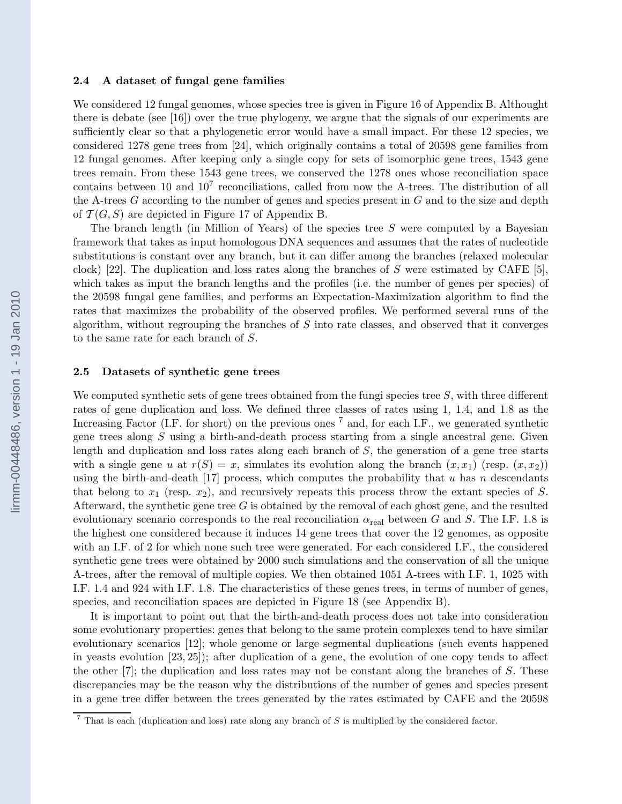#### 2.4 A dataset of fungal gene families

We considered 12 fungal genomes, whose species tree is given in Figure 16 of Appendix B. Althought there is debate (see [16]) over the true phylogeny, we argue that the signals of our experiments are sufficiently clear so that a phylogenetic error would have a small impact. For these 12 species, we considered 1278 gene trees from [24], which originally contains a total of 20598 gene families from 12 fungal genomes. After keeping only a single copy for sets of isomorphic gene trees, 1543 gene trees remain. From these 1543 gene trees, we conserved the 1278 ones whose reconciliation space contains between 10 and  $10<sup>7</sup>$  reconciliations, called from now the A-trees. The distribution of all the A-trees  $G$  according to the number of genes and species present in  $G$  and to the size and depth of  $\mathcal{T}(G, S)$  are depicted in Figure 17 of Appendix B.

The branch length (in Million of Years) of the species tree  $S$  were computed by a Bayesian framework that takes as input homologous DNA sequences and assumes that the rates of nucleotide substitutions is constant over any branch, but it can differ among the branches (relaxed molecular clock) [22]. The duplication and loss rates along the branches of S were estimated by CAFE [5]. which takes as input the branch lengths and the profiles (i.e. the number of genes per species) of the 20598 fungal gene families, and performs an Expectation-Maximization algorithm to find the rates that maximizes the probability of the observed profiles. We performed several runs of the algorithm, without regrouping the branches of  $S$  into rate classes, and observed that it converges to the same rate for each branch of S.

#### 2.5 Datasets of synthetic gene trees

We computed synthetic sets of gene trees obtained from the fungi species tree  $S$ , with three different rates of gene duplication and loss. We defined three classes of rates using 1, 1.4, and 1.8 as the Increasing Factor (I.F. for short) on the previous ones  $^7$  and, for each I.F., we generated synthetic gene trees along  $S$  using a birth-and-death process starting from a single ancestral gene. Given length and duplication and loss rates along each branch of S, the generation of a gene tree starts with a single gene u at  $r(S) = x$ , simulates its evolution along the branch  $(x, x_1)$  (resp.  $(x, x_2)$ ) using the birth-and-death [17] process, which computes the probability that u has n descendants that belong to  $x_1$  (resp.  $x_2$ ), and recursively repeats this process throw the extant species of S. Afterward, the synthetic gene tree  $G$  is obtained by the removal of each ghost gene, and the resulted evolutionary scenario corresponds to the real reconciliation  $\alpha_{\text{real}}$  between G and S. The I.F. 1.8 is the highest one considered because it induces 14 gene trees that cover the 12 genomes, as opposite with an I.F. of 2 for which none such tree were generated. For each considered I.F., the considered synthetic gene trees were obtained by 2000 such simulations and the conservation of all the unique A-trees, after the removal of multiple copies. We then obtained 1051 A-trees with I.F. 1, 1025 with I.F. 1.4 and 924 with I.F. 1.8. The characteristics of these genes trees, in terms of number of genes, species, and reconciliation spaces are depicted in Figure 18 (see Appendix B).

It is important to point out that the birth-and-death process does not take into consideration some evolutionary properties: genes that belong to the same protein complexes tend to have similar evolutionary scenarios [12]; whole genome or large segmental duplications (such events happened in yeasts evolution [23, 25]); after duplication of a gene, the evolution of one copy tends to affect the other  $[7]$ ; the duplication and loss rates may not be constant along the branches of S. These discrepancies may be the reason why the distributions of the number of genes and species present in a gene tree differ between the trees generated by the rates estimated by CAFE and the 20598

 $\frac{7}{1}$  That is each (duplication and loss) rate along any branch of S is multiplied by the considered factor.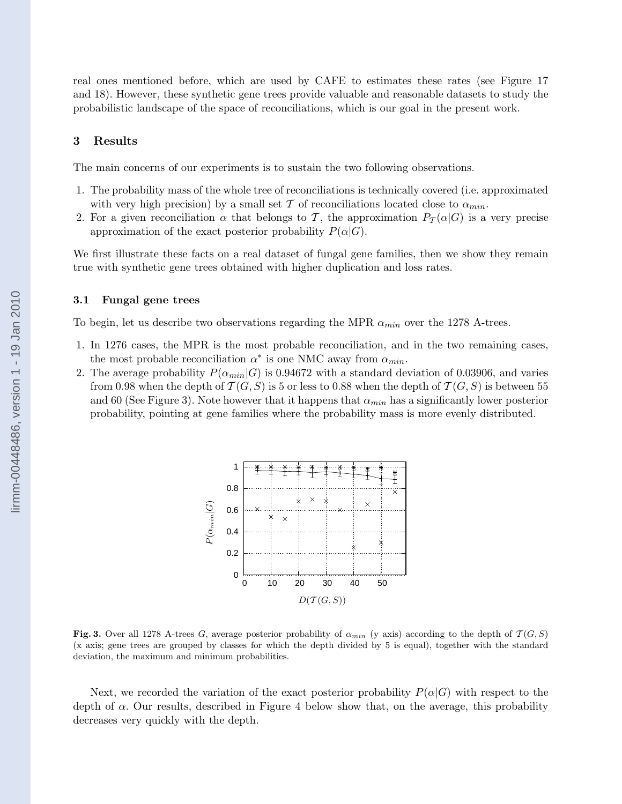real ones mentioned before, which are used by CAFE to estimates these rates (see Figure 17 and 18). However, these synthetic gene trees provide valuable and reasonable datasets to study the probabilistic landscape of the space of reconciliations, which is our goal in the present work.

## 3 Results

The main concerns of our experiments is to sustain the two following observations.

- 1. The probability mass of the whole tree of reconciliations is technically covered (i.e. approximated with very high precision) by a small set T of reconciliations located close to  $\alpha_{min}$ .
- 2. For a given reconciliation  $\alpha$  that belongs to T, the approximation  $P_{\mathcal{T}}(\alpha|G)$  is a very precise approximation of the exact posterior probability  $P(\alpha|G)$ .

We first illustrate these facts on a real dataset of fungal gene families, then we show they remain true with synthetic gene trees obtained with higher duplication and loss rates.

#### 3.1 Fungal gene trees

To begin, let us describe two observations regarding the MPR  $\alpha_{min}$  over the 1278 A-trees.

- 1. In 1276 cases, the MPR is the most probable reconciliation, and in the two remaining cases, the most probable reconciliation  $\alpha^*$  is one NMC away from  $\alpha_{min}$ .
- 2. The average probability  $P(\alpha_{min}|G)$  is 0.94672 with a standard deviation of 0.03906, and varies from 0.98 when the depth of  $\mathcal{T}(G, S)$  is 5 or less to 0.88 when the depth of  $\mathcal{T}(G, S)$  is between 55 and 60 (See Figure 3). Note however that it happens that  $\alpha_{min}$  has a significantly lower posterior probability, pointing at gene families where the probability mass is more evenly distributed.



Fig. 3. Over all 1278 A-trees G, average posterior probability of  $\alpha_{min}$  (y axis) according to the depth of  $\mathcal{T}(G, S)$ (x axis; gene trees are grouped by classes for which the depth divided by 5 is equal), together with the standard deviation, the maximum and minimum probabilities.

Next, we recorded the variation of the exact posterior probability  $P(\alpha|G)$  with respect to the depth of  $\alpha$ . Our results, described in Figure 4 below show that, on the average, this probability decreases very quickly with the depth.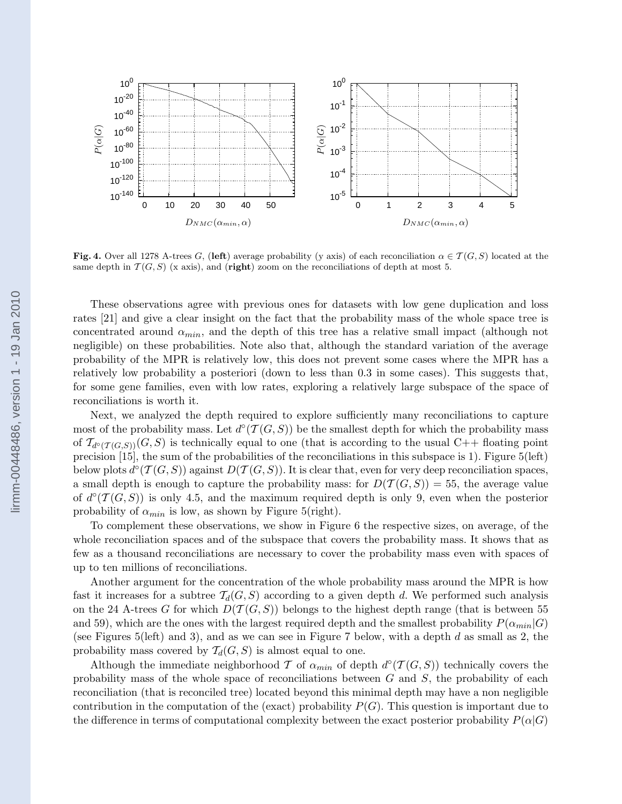

Fig. 4. Over all 1278 A-trees G, (left) average probability (y axis) of each reconciliation  $\alpha \in \mathcal{T}(G, S)$  located at the same depth in  $\mathcal{T}(G, S)$  (x axis), and (right) zoom on the reconciliations of depth at most 5.

These observations agree with previous ones for datasets with low gene duplication and loss rates [21] and give a clear insight on the fact that the probability mass of the whole space tree is concentrated around  $\alpha_{min}$ , and the depth of this tree has a relative small impact (although not negligible) on these probabilities. Note also that, although the standard variation of the average probability of the MPR is relatively low, this does not prevent some cases where the MPR has a relatively low probability a posteriori (down to less than 0.3 in some cases). This suggests that, for some gene families, even with low rates, exploring a relatively large subspace of the space of reconciliations is worth it.

Next, we analyzed the depth required to explore sufficiently many reconciliations to capture most of the probability mass. Let  $d^{\circ}(T(G, S))$  be the smallest depth for which the probability mass of  $\mathcal{T}_{d^{\circ}(T(G,S))}(G, S)$  is technically equal to one (that is according to the usual C++ floating point precision [15], the sum of the probabilities of the reconciliations in this subspace is 1). Figure 5(left) below plots  $d^{\circ}(T(G, S))$  against  $D(T(G, S))$ . It is clear that, even for very deep reconciliation spaces, a small depth is enough to capture the probability mass: for  $D(\mathcal{T}(G, S)) = 55$ , the average value of  $d^{\circ}(T(G, S))$  is only 4.5, and the maximum required depth is only 9, even when the posterior probability of  $\alpha_{min}$  is low, as shown by Figure 5(right).

To complement these observations, we show in Figure 6 the respective sizes, on average, of the whole reconciliation spaces and of the subspace that covers the probability mass. It shows that as few as a thousand reconciliations are necessary to cover the probability mass even with spaces of up to ten millions of reconciliations.

Another argument for the concentration of the whole probability mass around the MPR is how fast it increases for a subtree  $T_d(G, S)$  according to a given depth d. We performed such analysis on the 24 A-trees G for which  $D(\mathcal{T}(G, S))$  belongs to the highest depth range (that is between 55 and 59), which are the ones with the largest required depth and the smallest probability  $P(\alpha_{min}|G)$ (see Figures 5(left) and 3), and as we can see in Figure 7 below, with a depth  $d$  as small as 2, the probability mass covered by  $\mathcal{T}_d(G, S)$  is almost equal to one.

Although the immediate neighborhood T of  $\alpha_{min}$  of depth  $d^{\circ}(T(G, S))$  technically covers the probability mass of the whole space of reconciliations between  $G$  and  $S$ , the probability of each reconciliation (that is reconciled tree) located beyond this minimal depth may have a non negligible contribution in the computation of the (exact) probability  $P(G)$ . This question is important due to the difference in terms of computational complexity between the exact posterior probability  $P(\alpha|G)$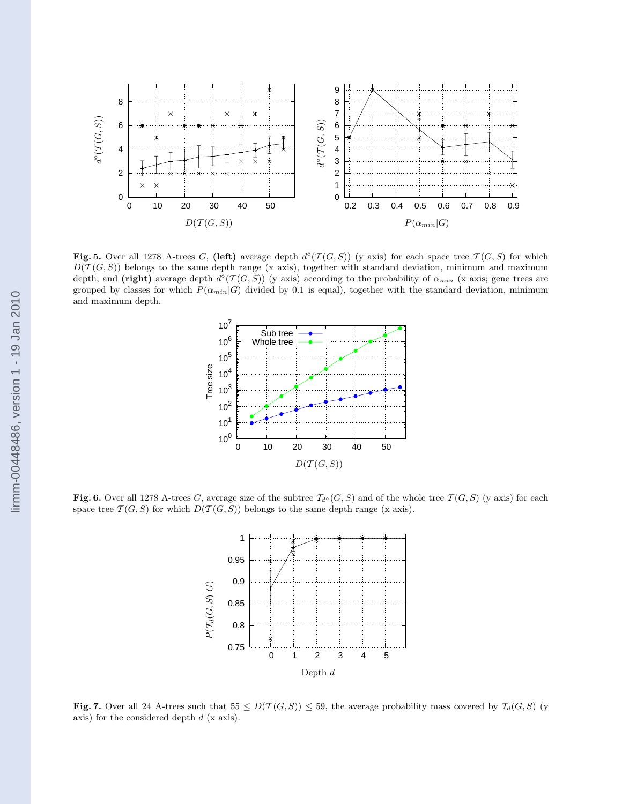

Fig. 5. Over all 1278 A-trees G, (left) average depth  $d^{\circ}(T(G, S))$  (y axis) for each space tree  $T(G, S)$  for which  $D(\mathcal{T}(G, S))$  belongs to the same depth range (x axis), together with standard deviation, minimum and maximum depth, and (right) average depth  $d^{\circ}(T(G, S))$  (y axis) according to the probability of  $\alpha_{min}$  (x axis; gene trees are grouped by classes for which  $P(\alpha_{min}|G)$  divided by 0.1 is equal), together with the standard deviation, minimum and maximum depth.



Fig. 6. Over all 1278 A-trees G, average size of the subtree  $\mathcal{T}_{d^{\circ}}(G, S)$  and of the whole tree  $\mathcal{T}(G, S)$  (y axis) for each space tree  $\mathcal{T}(G, S)$  for which  $D(\mathcal{T}(G, S))$  belongs to the same depth range (x axis).



Fig. 7. Over all 24 A-trees such that  $55 \leq D(\mathcal{T}(G, S)) \leq 59$ , the average probability mass covered by  $\mathcal{T}_d(G, S)$  (y axis) for the considered depth  $d$  (x axis).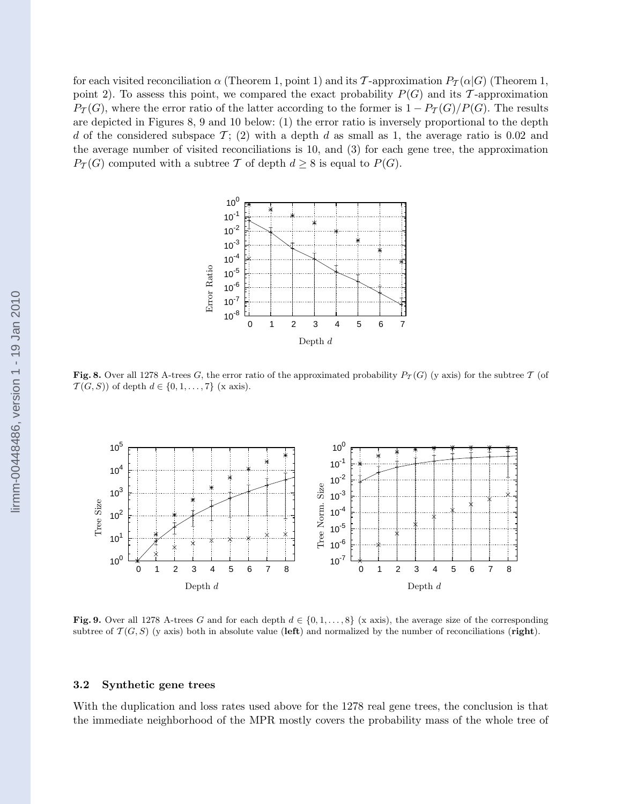for each visited reconciliation  $\alpha$  (Theorem 1, point 1) and its T-approximation  $P_{\mathcal{T}}(\alpha|G)$  (Theorem 1, point 2). To assess this point, we compared the exact probability  $P(G)$  and its T-approximation  $P_{\mathcal{T}}(G)$ , where the error ratio of the latter according to the former is  $1 - P_{\mathcal{T}}(G)/P(G)$ . The results are depicted in Figures 8, 9 and 10 below: (1) the error ratio is inversely proportional to the depth d of the considered subspace  $\mathcal{T}$ ; (2) with a depth d as small as 1, the average ratio is 0.02 and the average number of visited reconciliations is 10, and (3) for each gene tree, the approximation  $P_{\mathcal{T}}(G)$  computed with a subtree T of depth  $d \geq 8$  is equal to  $P(G)$ .



Fig. 8. Over all 1278 A-trees G, the error ratio of the approximated probability  $P_T(G)$  (y axis) for the subtree T (of  $\mathcal{T}(G, S)$  of depth  $d \in \{0, 1, \ldots, 7\}$  (x axis).



Fig. 9. Over all 1278 A-trees G and for each depth  $d \in \{0, 1, \ldots, 8\}$  (x axis), the average size of the corresponding subtree of  $\mathcal{T}(G, S)$  (y axis) both in absolute value (left) and normalized by the number of reconciliations (right).

#### 3.2 Synthetic gene trees

With the duplication and loss rates used above for the 1278 real gene trees, the conclusion is that the immediate neighborhood of the MPR mostly covers the probability mass of the whole tree of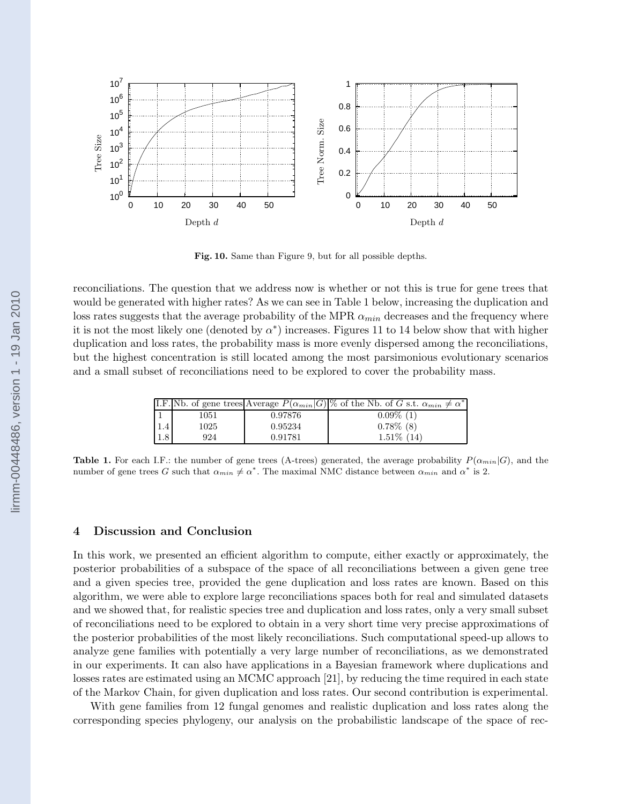

Fig. 10. Same than Figure 9, but for all possible depths.

reconciliations. The question that we address now is whether or not this is true for gene trees that would be generated with higher rates? As we can see in Table 1 below, increasing the duplication and loss rates suggests that the average probability of the MPR  $\alpha_{min}$  decreases and the frequency where it is not the most likely one (denoted by  $\alpha^*$ ) increases. Figures 11 to 14 below show that with higher duplication and loss rates, the probability mass is more evenly dispersed among the reconciliations, but the highest concentration is still located among the most parsimonious evolutionary scenarios and a small subset of reconciliations need to be explored to cover the probability mass.

|     |      |         | I.F. Nb. of gene trees Average $P(\alpha_{min} G) \%$ of the Nb. of G s.t. $\alpha_{min} \neq \alpha^*$ |
|-----|------|---------|---------------------------------------------------------------------------------------------------------|
|     | 1051 | 0.97876 | $0.09\%$ (1)                                                                                            |
| 1.4 | 1025 | 0.95234 | $0.78\%$ (8)                                                                                            |
| 1.8 | 924  | 0.91781 | $1.51\%$ (14)                                                                                           |

**Table 1.** For each I.F.: the number of gene trees (A-trees) generated, the average probability  $P(\alpha_{min}|G)$ , and the number of gene trees G such that  $\alpha_{min} \neq \alpha^*$ . The maximal NMC distance between  $\alpha_{min}$  and  $\alpha^*$  is 2.

#### 4 Discussion and Conclusion

In this work, we presented an efficient algorithm to compute, either exactly or approximately, the posterior probabilities of a subspace of the space of all reconciliations between a given gene tree and a given species tree, provided the gene duplication and loss rates are known. Based on this algorithm, we were able to explore large reconciliations spaces both for real and simulated datasets and we showed that, for realistic species tree and duplication and loss rates, only a very small subset of reconciliations need to be explored to obtain in a very short time very precise approximations of the posterior probabilities of the most likely reconciliations. Such computational speed-up allows to analyze gene families with potentially a very large number of reconciliations, as we demonstrated in our experiments. It can also have applications in a Bayesian framework where duplications and losses rates are estimated using an MCMC approach [21], by reducing the time required in each state of the Markov Chain, for given duplication and loss rates. Our second contribution is experimental.

With gene families from 12 fungal genomes and realistic duplication and loss rates along the corresponding species phylogeny, our analysis on the probabilistic landscape of the space of rec-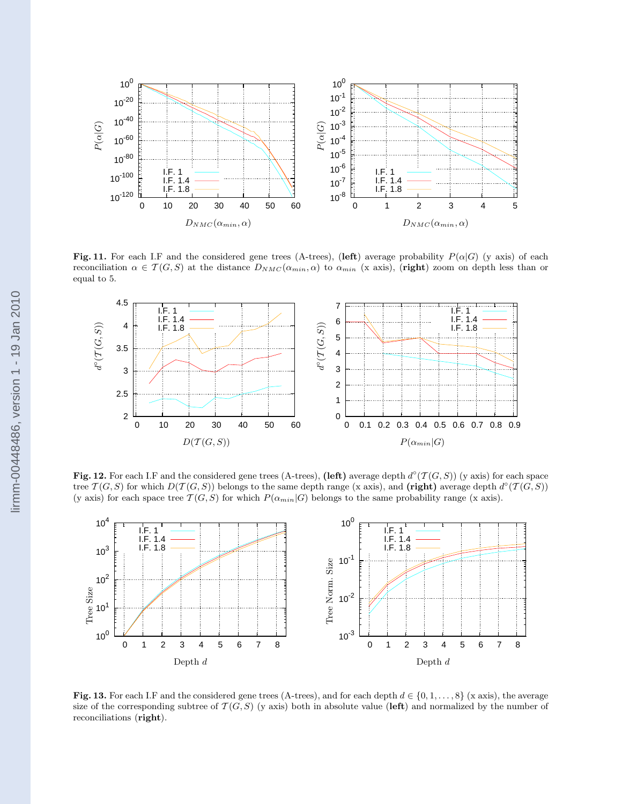

Fig. 11. For each I.F and the considered gene trees (A-trees), (left) average probability  $P(\alpha|G)$  (y axis) of each reconciliation  $\alpha \in \mathcal{T}(G, S)$  at the distance  $D_{NMC}(\alpha_{min}, \alpha)$  to  $\alpha_{min}$  (x axis), (right) zoom on depth less than or equal to 5.



Fig. 12. For each I.F and the considered gene trees (A-trees), (left) average depth  $d^{\circ}(T(G, S))$  (y axis) for each space tree  $\mathcal{T}(G, S)$  for which  $D(\mathcal{T}(G, S))$  belongs to the same depth range (x axis), and (right) average depth  $d^{\circ}(\mathcal{T}(G, S))$ (y axis) for each space tree  $\mathcal{T}(G, S)$  for which  $P(\alpha_{min}|G)$  belongs to the same probability range (x axis).



Fig. 13. For each I.F and the considered gene trees (A-trees), and for each depth  $d \in \{0, 1, \ldots, 8\}$  (x axis), the average size of the corresponding subtree of  $\mathcal{T}(G, S)$  (y axis) both in absolute value (left) and normalized by the number of reconciliations (right).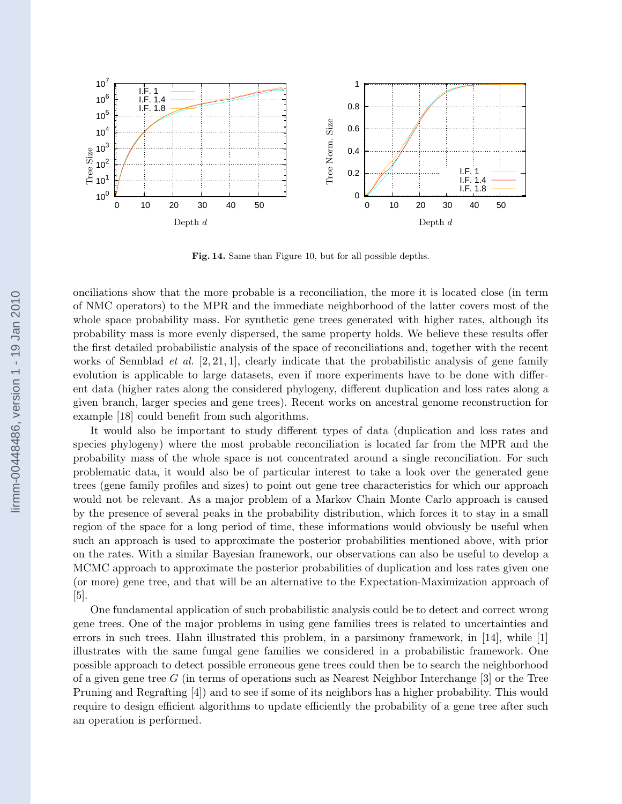

Fig. 14. Same than Figure 10, but for all possible depths.

onciliations show that the more probable is a reconciliation, the more it is located close (in term of NMC operators) to the MPR and the immediate neighborhood of the latter covers most of the whole space probability mass. For synthetic gene trees generated with higher rates, although its probability mass is more evenly dispersed, the same property holds. We believe these results offer the first detailed probabilistic analysis of the space of reconciliations and, together with the recent works of Sennblad *et al.*  $[2, 21, 1]$ , clearly indicate that the probabilistic analysis of gene family evolution is applicable to large datasets, even if more experiments have to be done with different data (higher rates along the considered phylogeny, different duplication and loss rates along a given branch, larger species and gene trees). Recent works on ancestral genome reconstruction for example [18] could benefit from such algorithms.

It would also be important to study different types of data (duplication and loss rates and species phylogeny) where the most probable reconciliation is located far from the MPR and the probability mass of the whole space is not concentrated around a single reconciliation. For such problematic data, it would also be of particular interest to take a look over the generated gene trees (gene family profiles and sizes) to point out gene tree characteristics for which our approach would not be relevant. As a major problem of a Markov Chain Monte Carlo approach is caused by the presence of several peaks in the probability distribution, which forces it to stay in a small region of the space for a long period of time, these informations would obviously be useful when such an approach is used to approximate the posterior probabilities mentioned above, with prior on the rates. With a similar Bayesian framework, our observations can also be useful to develop a MCMC approach to approximate the posterior probabilities of duplication and loss rates given one (or more) gene tree, and that will be an alternative to the Expectation-Maximization approach of [5].

One fundamental application of such probabilistic analysis could be to detect and correct wrong gene trees. One of the major problems in using gene families trees is related to uncertainties and errors in such trees. Hahn illustrated this problem, in a parsimony framework, in [14], while [1] illustrates with the same fungal gene families we considered in a probabilistic framework. One possible approach to detect possible erroneous gene trees could then be to search the neighborhood of a given gene tree G (in terms of operations such as Nearest Neighbor Interchange  $[3]$  or the Tree Pruning and Regrafting [4]) and to see if some of its neighbors has a higher probability. This would require to design efficient algorithms to update efficiently the probability of a gene tree after such an operation is performed.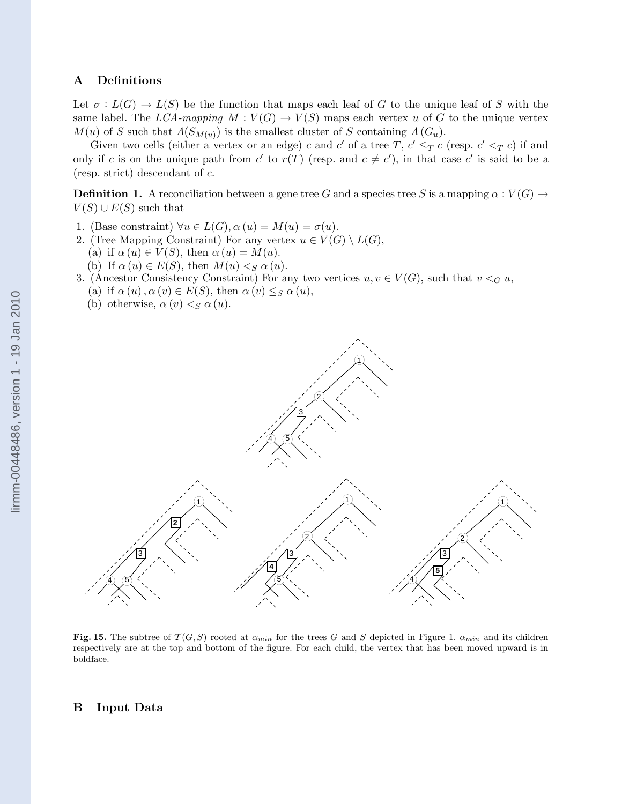## A Definitions

Let  $\sigma: L(G) \to L(S)$  be the function that maps each leaf of G to the unique leaf of S with the same label. The LCA-mapping  $M: V(G) \to V(S)$  maps each vertex u of G to the unique vertex  $M(u)$  of S such that  $\Lambda(S_{M(u)})$  is the smallest cluster of S containing  $\Lambda(G_u)$ .

Given two cells (either a vertex or an edge) c and c' of a tree T,  $c' \leq_T c$  (resp.  $c' <_T c$ ) if and only if c is on the unique path from c' to  $r(T)$  (resp. and  $c \neq c'$ ), in that case c' is said to be a (resp. strict) descendant of c.

**Definition 1.** A reconciliation between a gene tree G and a species tree S is a mapping  $\alpha : V(G) \to$  $V(S) \cup E(S)$  such that

- 1. (Base constraint)  $\forall u \in L(G)$ ,  $\alpha(u) = M(u) = \sigma(u)$ .
- 2. (Tree Mapping Constraint) For any vertex  $u \in V(G) \setminus L(G)$ ,
	- (a) if  $\alpha(u) \in V(S)$ , then  $\alpha(u) = M(u)$ .
	- (b) If  $\alpha(u) \in E(S)$ , then  $M(u) \leq_S \alpha(u)$ .
- 3. (Ancestor Consistency Constraint) For any two vertices  $u, v \in V(G)$ , such that  $v <_{G} u$ , (a) if  $\alpha(u)$ ,  $\alpha(v) \in E(S)$ , then  $\alpha(v) \leq_S \alpha(u)$ ,
	- (b) otherwise,  $\alpha(v) < S \alpha(u)$ .



Fig. 15. The subtree of  $T(G, S)$  rooted at  $\alpha_{min}$  for the trees G and S depicted in Figure 1.  $\alpha_{min}$  and its children respectively are at the top and bottom of the figure. For each child, the vertex that has been moved upward is in boldface.

#### B Input Data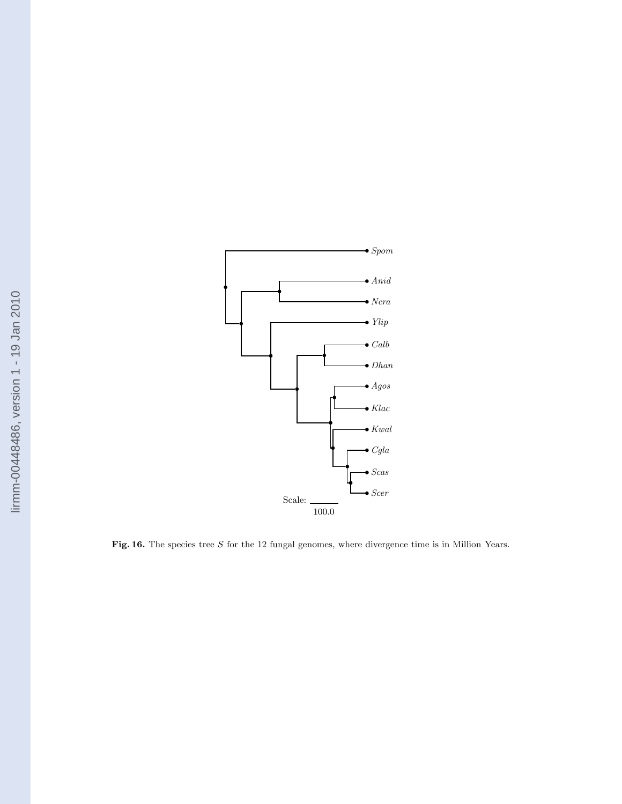

Fig. 16. The species tree  $S$  for the 12 fungal genomes, where divergence time is in Million Years.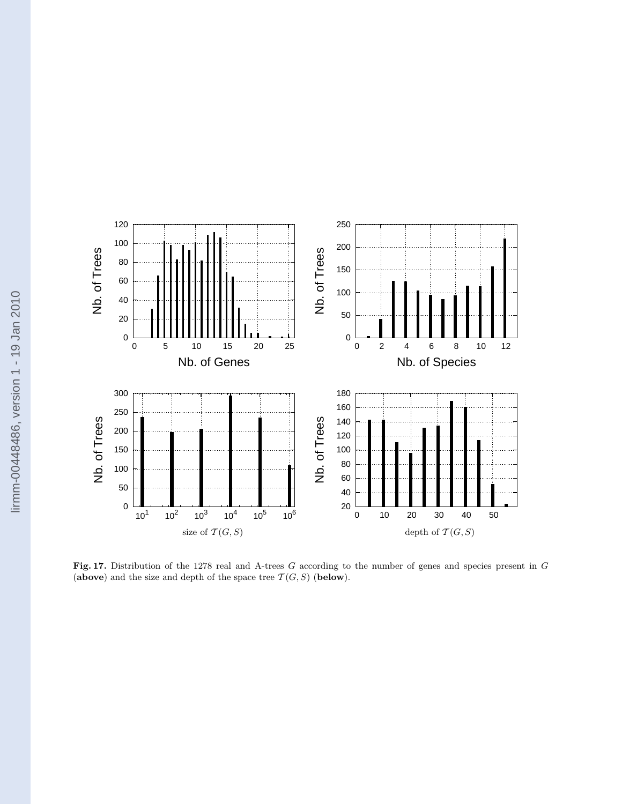

Fig. 17. Distribution of the 1278 real and A-trees G according to the number of genes and species present in G (above) and the size and depth of the space tree  $\mathcal{T}(G, S)$  (below).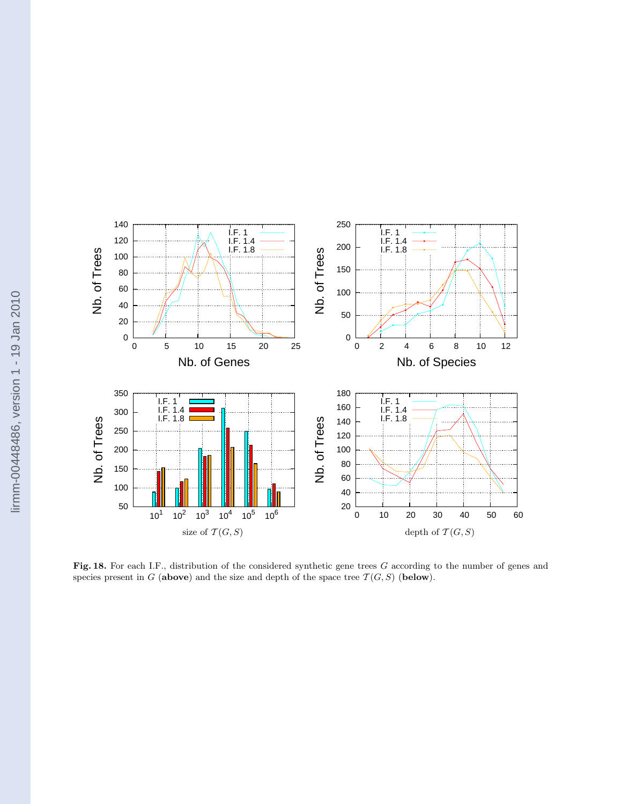

Fig. 18. For each I.F., distribution of the considered synthetic gene trees G according to the number of genes and species present in G (above) and the size and depth of the space tree  $\mathcal{T}(G, S)$  (below).